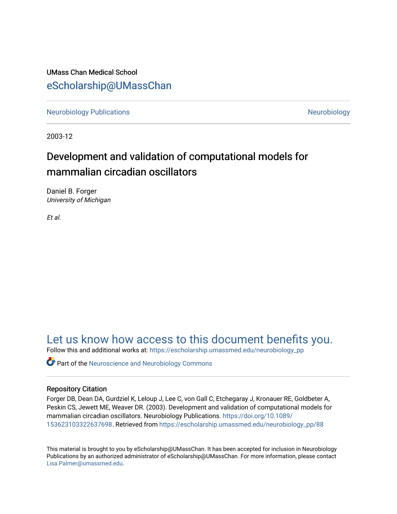UMass Chan Medical School [eScholarship@UMassChan](https://escholarship.umassmed.edu/) 

[Neurobiology Publications](https://escholarship.umassmed.edu/neurobiology_pp) Neurobiology

2003-12

# Development and validation of computational models for mammalian circadian oscillators

Daniel B. Forger University of Michigan

Et al.

[Let us know how access to this document benefits you.](https://arcsapps.umassmed.edu/redcap/surveys/?s=XWRHNF9EJE) 

Follow this and additional works at: [https://escholarship.umassmed.edu/neurobiology\\_pp](https://escholarship.umassmed.edu/neurobiology_pp?utm_source=escholarship.umassmed.edu%2Fneurobiology_pp%2F88&utm_medium=PDF&utm_campaign=PDFCoverPages) 

**C** Part of the Neuroscience and Neurobiology Commons

# Repository Citation

Forger DB, Dean DA, Gurdziel K, Leloup J, Lee C, von Gall C, Etchegaray J, Kronauer RE, Goldbeter A, Peskin CS, Jewett ME, Weaver DR. (2003). Development and validation of computational models for mammalian circadian oscillators. Neurobiology Publications. [https://doi.org/10.1089/](https://doi.org/10.1089/153623103322637698) [153623103322637698](https://doi.org/10.1089/153623103322637698). Retrieved from [https://escholarship.umassmed.edu/neurobiology\\_pp/88](https://escholarship.umassmed.edu/neurobiology_pp/88?utm_source=escholarship.umassmed.edu%2Fneurobiology_pp%2F88&utm_medium=PDF&utm_campaign=PDFCoverPages)

This material is brought to you by eScholarship@UMassChan. It has been accepted for inclusion in Neurobiology Publications by an authorized administrator of eScholarship@UMassChan. For more information, please contact [Lisa.Palmer@umassmed.edu](mailto:Lisa.Palmer@umassmed.edu).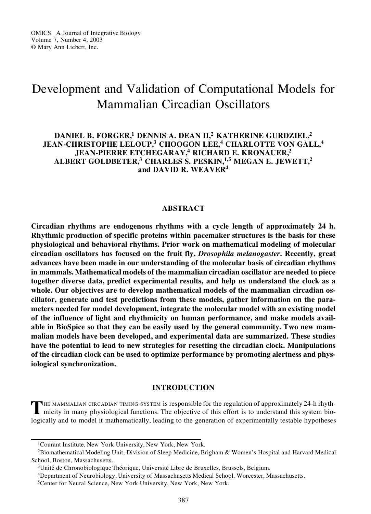# Development and Validation of Computational Models for Mammalian Circadian Oscillators

# **DANIEL B. FORGER,<sup>1</sup> DENNIS A. DEAN II,<sup>2</sup> KATHERINE GURDZIEL,<sup>2</sup> JEAN-CHRISTOPHE LELOUP,<sup>3</sup> CHOOGON LEE,<sup>4</sup> CHARLOTTE VON GALL,<sup>4</sup> JEAN-PIERRE ETCHEGARAY,<sup>4</sup> RICHARD E. KRONAUER,<sup>2</sup> ALBERT GOLDBETER,<sup>3</sup> CHARLES S. PESKIN,1,5 MEGAN E. JEWETT,<sup>2</sup> and DAVID R. WEAVER<sup>4</sup>**

# **ABSTRACT**

**Circadian rhythms are endogenous rhythms with a cycle length of approximately 24 h. Rhythmic production of specific proteins within pacemaker structures is the basis for these physiological and behavioral rhythms. Prior work on mathematical modeling of molecular circadian oscillators has focused on the fruit fly,** *Drosophila melanogaster***. Recently, great advances have been made in our understanding of the molecular basis of circadian rhythms in mammals. Mathematical models of the mammalian circadian oscillator are needed to piece together diverse data, predict experimental results, and help us understand the clock as a whole. Our objectives are to develop mathematical models of the mammalian circadian oscillator, generate and test predictions from these models, gather information on the parameters needed for model development, integrate the molecular model with an existing model of the influence of light and rhythmicity on human performance, and make models available in BioSpice so that they can be easily used by the general community. Two new mammalian models have been developed, and experimental data are summarized. These studies have the potential to lead to new strategies for resetting the circadian clock. Manipulations of the circadian clock can be used to optimize performance by promoting alertness and physiological synchronization.**

### **INTRODUCTION**

THE MAMMALIAN CIRCADIAN TIMING SYSTEM is responsible for the regulation of approximately 24-h rhythmicity in many physiological functions. The objective of this effort is to understand this system biomicity in many physiological functions. The objective of this effort is to understand this system biologically and to model it mathematically, leading to the generation of experimentally testable hypotheses

<sup>1</sup>Courant Institute, New York University, New York, New York.

<sup>&</sup>lt;sup>2</sup>Biomathematical Modeling Unit, Division of Sleep Medicine, Brigham & Women's Hospital and Harvard Medical School, Boston, Massachusetts.

 $3$ Unité de Chronobiologique Théorique, Université Libre de Bruxelles, Brussels, Belgium.

<sup>4</sup>Department of Neurobiology, University of Massachusetts Medical School, Worcester, Massachusetts.

<sup>5</sup>Center for Neural Science, New York University, New York, New York.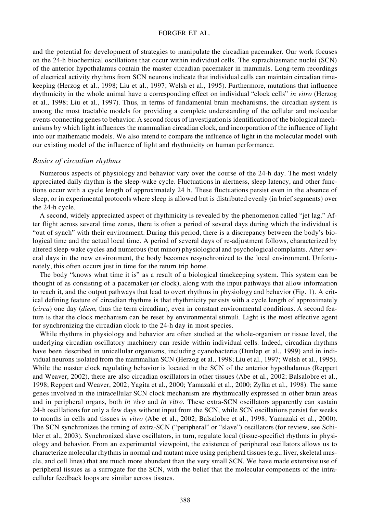and the potential for development of strategies to manipulate the circadian pacemaker. Our work focuses on the 24-h biochemical oscillations that occur within individual cells. The suprachiasmatic nuclei (SCN) of the anterior hypothalamus contain the master circadian pacemaker in mammals. Long-term recordings of electrical activity rhythms from SCN neurons indicate that individual cells can maintain circadian timekeeping (Herzog et al., 1998; Liu et al., 1997; Welsh et al., 1995). Furthermore, mutations that influence rhythmicity in the whole animal have a corresponding effect on individual "clock cells" *in vitro* (Herzog et al., 1998; Liu et al., 1997). Thus, in terms of fundamental brain mechanisms, the circadian system is among the most tractable models for providing a complete understanding of the cellular and molecular events connecting genes to behavior. A second focus of investigation is identification of the biological mechanisms by which light influences the mammalian circadian clock, and incorporation of the influence of light into our mathematic models. We also intend to compare the influence of light in the molecular model with our existing model of the influence of light and rhythmicity on human performance.

# *Basics of circadian rhythms*

Numerous aspects of physiology and behavior vary over the course of the 24-h day. The most widely appreciated daily rhythm is the sleep-wake cycle. Fluctuations in alertness, sleep latency, and other functions occur with a cycle length of approximately 24 h. These fluctuations persist even in the absence of sleep, or in experimental protocols where sleep is allowed but is distributed evenly (in brief segments) over the 24-h cycle.

A second, widely appreciated aspect of rhythmicity is revealed by the phenomenon called "jet lag." After flight across several time zones, there is often a period of several days during which the individual is "out of synch" with their environment. During this period, there is a discrepancy between the body's biological time and the actual local time. A period of several days of re-adjustment follows, characterized by altered sleep-wake cycles and numerous (but minor) physiological and psychological complaints. After several days in the new environment, the body becomes resynchronized to the local environment. Unfortunately, this often occurs just in time for the return trip home.

The body "knows what time it is" as a result of a biological timekeeping system. This system can be thought of as consisting of a pacemaker (or clock), along with the input pathways that allow information to reach it, and the output pathways that lead to overt rhythms in physiology and behavior (Fig. 1). A critical defining feature of circadian rhythms is that rhythmicity persists with a cycle length of approximately (*circa*) one day (*diem*, thus the term circadian), even in constant environmental conditions. A second feature is that the clock mechanism can be reset by environmental stimuli. Light is the most effective agent for synchronizing the circadian clock to the 24-h day in most species.

While rhythms in physiology and behavior are often studied at the whole-organism or tissue level, the underlying circadian oscillatory machinery can reside within individual cells. Indeed, circadian rhythms have been described in unicellular organisms, including cyanobacteria (Dunlap et al., 1999) and in individual neurons isolated from the mammalian SCN (Herzog et al., 1998; Liu et al., 1997; Welsh et al., 1995). While the master clock regulating behavior is located in the SCN of the anterior hypothalamus (Reppert and Weaver, 2002), there are also circadian oscillators in other tissues (Abe et al., 2002; Balsalobre et al., 1998; Reppert and Weaver, 2002; Yagita et al., 2000; Yamazaki et al., 2000; Zylka et al., 1998). The same genes involved in the intracellular SCN clock mechanism are rhythmically expressed in other brain areas and in peripheral organs, both *in vivo* and *in vitro*. These extra-SCN oscillators apparently can sustain 24-h oscillations for only a few days without input from the SCN, while SCN oscillations persist for weeks to months in cells and tissues *in vitro* (Abe et al., 2002; Balsalobre et al., 1998; Yamazaki et al., 2000). The SCN synchronizes the timing of extra-SCN ("peripheral" or "slave") oscillators (for review, see Schibler et al., 2003). Synchronized slave oscillators, in turn, regulate local (tissue-specific) rhythms in physiology and behavior. From an experimental viewpoint, the existence of peripheral oscillators allows us to characterize molecular rhythms in normal and mutant mice using peripheral tissues (e.g., liver, skeletal muscle, and cell lines) that are much more abundant than the very small SCN. We have made extensive use of peripheral tissues as a surrogate for the SCN, with the belief that the molecular components of the intracellular feedback loops are similar across tissues.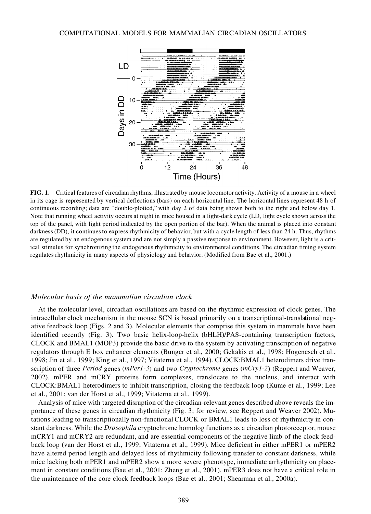

**FIG. 1.** Critical features of circadian rhythms, illustrated by mouse locomotor activity. Activity of a mouse in a wheel in its cage is represented by vertical deflections (bars) on each horizontal line. The horizontal lines represent 48 h of continuous recording; data are "double-plotted," with day 2 of data being shown both to the right and below day 1. Note that running wheel activity occurs at night in mice housed in a light-dark cycle (LD, light cycle shown across the top of the panel, with light period indicated by the open portion of the bar). When the animal is placed into constant darkness (DD), it continues to express rhythmicity of behavior, but with a cycle length of less than 24 h. Thus, rhythms are regulated by an endogenous system and are not simply a passive response to environment. However, light is a critical stimulus for synchronizing the endogenous rhythmicity to environmental conditions. The circadian timing system regulates rhythmicity in many aspects of physiology and behavior. (Modified from Bae et al., 2001.)

#### *Molecular basis of the mammalian circadian clock*

At the molecular level, circadian oscillations are based on the rhythmic expression of clock genes. The intracellular clock mechanism in the mouse SCN is based primarily on a transcriptional-translational negative feedback loop (Figs. 2 and 3). Molecular elements that comprise this system in mammals have been identified recently (Fig. 3). Two basic helix-loop-helix (bHLH)/PAS-containing transcription factors, CLOCK and BMAL1 (MOP3) provide the basic drive to the system by activating transcription of negative regulators through E box enhancer elements (Bunger et al., 2000; Gekakis et al., 1998; Hogenesch et al., 1998; Jin et al., 1999; King et al., 1997; Vitaterna et al., 1994). CLOCK:BMAL1 heterodimers drive transcription of three *Period* genes (*mPer1-3*) and two *Cryptochrome* genes (*mCry1-2*) (Reppert and Weaver, 2002). mPER and mCRY proteins form complexes, translocate to the nucleus, and interact with CLOCK:BMAL1 heterodimers to inhibit transcription, closing the feedback loop (Kume et al., 1999; Lee et al., 2001; van der Horst et al., 1999; Vitaterna et al., 1999).

Analysis of mice with targeted disruption of the circadian-relevant genes described above reveals the importance of these genes in circadian rhythmicity (Fig. 3; for review, see Reppert and Weaver 2002). Mutations leading to transcriptionally non-functional CLOCK or BMAL1 leads to loss of rhythmicity in constant darkness. While the *Drosophila* cryptochrome homolog functions as a circadian photoreceptor, mouse mCRY1 and mCRY2 are redundant, and are essential components of the negative limb of the clock feedback loop (van der Horst et al., 1999; Vitaterna et al., 1999). Mice deficient in either mPER1 or mPER2 have altered period length and delayed loss of rhythmicity following transfer to constant darkness, while mice lacking both mPER1 and mPER2 show a more severe phenotype, immediate arrhythmicity on placement in constant conditions (Bae et al., 2001; Zheng et al., 2001). mPER3 does not have a critical role in the maintenance of the core clock feedback loops (Bae et al., 2001; Shearman et al., 2000a).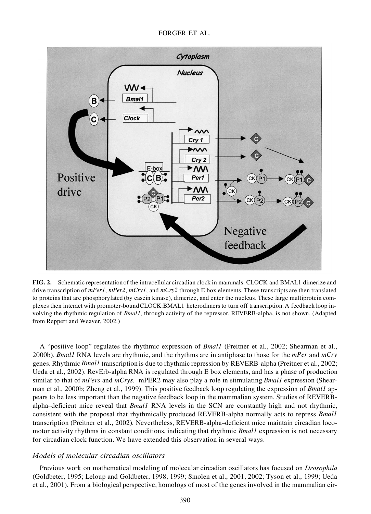

**FIG. 2.** Schematic representation of the intracellular circadian clock in mammals. CLOCK and BMAL1 dimerize and drive transcription of *mPer1*, *mPer2*, *mCry1*, and *mCry2* through E box elements. These transcripts are then translated to proteins that are phosphorylated (by casein kinase), dimerize, and enter the nucleus. These large multiprotein com plexes then interact with promoter-bound CLOCK:BMAL1 heterodimers to turn off transcription. A feedback loop involving the rhythmic regulation of *Bmal1*, through activity of the repressor, REVERB-alpha, is not shown. (Adapted from Reppert and Weaver, 2002.)

A "positive loop" regulates the rhythmic expression of *Bmal1* (Preitner et al., 2002; Shearman et al., 2000b). *Bmal1* RNA levels are rhythmic, and the rhythms are in antiphase to those for the *mPer* and *mCry* genes. Rhythmic *Bmal1* transcription is due to rhythmic repression by REVERB-alpha (Preitner et al., 2002; Ueda et al., 2002). RevErb-alpha RNA is regulated through E box elements, and has a phase of production similar to that of *mPers* and *mCrys.* mPER2 may also play a role in stimulating *Bmal1* expression (Shearman et al., 2000b; Zheng et al., 1999). This positive feedback loop regulating the expression of *Bmal1* appears to be less important than the negative feedback loop in the mammalian system. Studies of REVERBalpha–deficient mice reveal that *Bmal1* RNA levels in the SCN are constantly high and not rhythmic, consistent with the proposal that rhythmically produced REVERB-alpha normally acts to repress *Bmal1* transcription (Preitner et al., 2002). Nevertheless, REVERB-alpha–deficient mice maintain circadian locomotor activity rhythms in constant conditions, indicating that rhythmic *Bmal1* expression is not necessary for circadian clock function. We have extended this observation in several ways.

#### *Models of molecular circadian oscillators*

Previous work on mathematical modeling of molecular circadian oscillators has focused on *Drosophila* (Goldbeter, 1995; Leloup and Goldbeter, 1998, 1999; Smolen et al., 2001, 2002; Tyson et al., 1999; Ueda et al., 2001). From a biological perspective, homologs of most of the genes involved in the mammalian cir-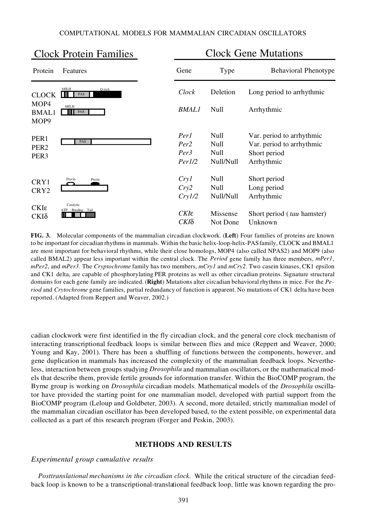| Protein                                                  | Features                      | Gene                                       | Type                              | <b>Behavioral Phenotype</b>                                                          |
|----------------------------------------------------------|-------------------------------|--------------------------------------------|-----------------------------------|--------------------------------------------------------------------------------------|
| <b>CLOCK</b>                                             | bHLH<br>Q-rich<br>PAS         | Clock                                      | Deletion                          | Long period to arrhythmic                                                            |
| MOP4<br><b>BMAL1</b><br>MOP <sub>9</sub>                 | bHLH<br>PAS                   | <i>BMAL1</i>                               | Null                              | Arrhythmic                                                                           |
| PER <sub>1</sub><br>PER <sub>2</sub><br>PER <sub>3</sub> | PAS                           | Perl<br>Per <sub>2</sub><br>Per3<br>Per1/2 | Null<br>Null<br>Null<br>Null/Null | Var. period to arrhythmic<br>Var. period to arrhythmic<br>Short period<br>Arrhythmic |
| CRY <sub>1</sub><br>CRY <sub>2</sub>                     | Flavin<br>Pterin              | Cryl<br>Cry2<br>Cryl/2                     | Null<br>Null<br>Null/Null         | Short period<br>Long period<br>Arrhythmic                                            |
| $CKI\epsilon$<br>$CKI\delta$                             | Catalytic<br>ATP Binding Tail | $CKI\epsilon$<br>$CKI\delta$               | Missense<br>Not Done              | Short period ( <i>tau</i> hamster)<br>Unknown                                        |

Clock Gene Mutations

**FIG. 3.** Molecular components of the mammalian circadian clockwork. (**Left**) Four families of proteins are known to be important for circadian rhythms in mammals. Within the basic helix-loop-helix-PAS family, CLOCK and BMAL1 are most important for behavioral rhythms, while their close homologs, MOP4 (also called NPAS2) and MOP9 (also called BMAL2) appear less important within the central clock. The *Period* gene family has three members, *mPer1*, *mPer2*, and *mPer3*. The *Cryptochrome* family has two members, *mCry1* and *mCry2*. Two casein kinases, CK1 epsilon and CK1 delta, are capable of phosphorylating PER proteins as well as other circadian proteins. Signature structural domains for each gene family are indicated. (**Right**) Mutations alter circadian behavioral rhythms in mice. For the *Period* and *Crytochrome* gene families, partial redundancy of function is apparent. No mutations of CK1 delta have been reported. (Adapted from Reppert and Weaver, 2002.)

cadian clockwork were first identified in the fly circadian clock, and the general core clock mechanism of interacting transcriptional feedback loops is similar between flies and mice (Reppert and Weaver, 2000; Young and Kay, 2001). There has been a shuffling of functions between the components, however, and gene duplication in mammals has increased the complexity of the mammalian feedback loops. Nevertheless, interaction between groups studying *Drosophila* and mammalian oscillators, or the mathematical models that describe them, provide fertile grounds for information transfer. Within the BioCOMP program, the Byrne group is working on *Drosophila* circadian models. Mathematical models of the *Drosophila* oscillator have provided the starting point for one mammalian model, developed with partial support from the BioCOMP program (Leloup and Goldbeter, 2003). A second, more detailed, strictly mammalian model of the mammalian circadian oscillator has been developed based, to the extent possible, on experimental data collected as a part of this research program (Forger and Peskin, 2003).

# **METHODS AND RESULTS**

# *Experimental group cumulative results*

Clock Protein Families

*Posttranslational mechanisms in the circadian clock.* While the critical structure of the circadian feedback loop is known to be a transcriptional-translational feedback loop, little was known regarding the pro-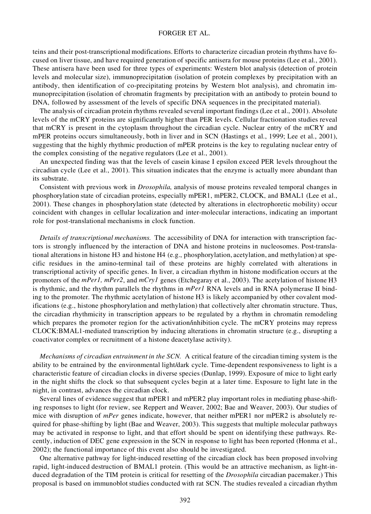teins and their post-transcriptional modifications. Efforts to characterize circadian protein rhythms have focused on liver tissue, and have required generation of specific antisera for mouse proteins (Lee et al., 2001). These antisera have been used for three types of experiments: Western blot analysis (detection of protein levels and molecular size), immunoprecipitation (isolation of protein complexes by precipitation with an antibody, then identification of co-precipitating proteins by Western blot analysis), and chromatin immunoprecipitation (isolation of chromatin fragments by precipitation with an antibody to protein bound to DNA, followed by assessment of the levels of specific DNA sequences in the precipitated material).

The analysis of circadian protein rhythms revealed several important findings (Lee et al., 2001). Absolute levels of the mCRY proteins are significantly higher than PER levels. Cellular fractionation studies reveal that mCRY is present in the cytoplasm throughout the circadian cycle. Nuclear entry of the mCRY and mPER proteins occurs simultaneously, both in liver and in SCN (Hastings et al., 1999; Lee et al., 2001), suggesting that the highly rhythmic production of mPER proteins is the key to regulating nuclear entry of the complex consisting of the negative regulators (Lee et al., 2001).

An unexpected finding was that the levels of casein kinase I epsilon exceed PER levels throughout the circadian cycle (Lee et al., 2001). This situation indicates that the enzyme is actually more abundant than its substrate.

Consistent with previous work in *Drosophila*, analysis of mouse proteins revealed temporal changes in phosphorylation state of circadian proteins, especially mPER1, mPER2, CLOCK, and BMAL1 (Lee et al., 2001). These changes in phosphorylation state (detected by alterations in electrophoretic mobility) occur coincident with changes in cellular localization and inter-molecular interactions, indicating an important role for post-translational mechanisms in clock function.

*Details of transcriptional mechanisms.* The accessibility of DNA for interaction with transcription factors is strongly influenced by the interaction of DNA and histone proteins in nucleosomes. Post-translational alterations in histone H3 and histone H4 (e.g., phosphorylation, acetylation, and methylation) at specific residues in the amino-terminal tail of these proteins are highly correlated with alterations in transcriptional activity of specific genes. In liver, a circadian rhythm in histone modification occurs at the promoters of the *mPer1, mPer2*, and *mCry1* genes (Etchegaray et al., 2003). The acetylation of histone H3 is rhythmic, and the rhythm parallels the rhythms in *mPer1* RNA levels and in RNA polymerase II binding to the promoter. The rhythmic acetylation of histone H3 is likely accompanied by other covalent modifications (e.g., histone phosphorylation and methylation) that collectively alter chromatin structure. Thus, the circadian rhythmicity in transcription appears to be regulated by a rhythm in chromatin remodeling which prepares the promoter region for the activation/inhibition cycle. The mCRY proteins may repress CLOCK:BMAL1-mediated transcription by inducing alterations in chromatin structure (e.g., disrupting a coactivator complex or recruitment of a histone deacetylase activity).

*Mechanisms of circadian entrainment in the SCN.* A critical feature of the circadian timing system is the ability to be entrained by the environmental light/dark cycle. Time-dependent responsiveness to light is a characteristic feature of circadian clocks in diverse species (Dunlap, 1999). Exposure of mice to light early in the night shifts the clock so that subsequent cycles begin at a later time. Exposure to light late in the night, in contrast, advances the circadian clock.

Several lines of evidence suggest that mPER1 and mPER2 play important roles in mediating phase-shifting responses to light (for review, see Reppert and Weaver, 2002; Bae and Weaver, 2003). Our studies of mice with disruption of *mPer* genes indicate, however, that neither mPER1 nor mPER2 is absolutely required for phase-shifting by light (Bae and Weaver, 2003). This suggests that multiple molecular pathways may be activated in response to light, and that effort should be spent on identifying these pathways. Recently, induction of DEC gene expression in the SCN in response to light has been reported (Honma et al., 2002); the functional importance of this event also should be investigated.

One alternative pathway for light-induced resetting of the circadian clock has been proposed involving rapid, light-induced destruction of BMAL1 protein. (This would be an attractive mechanism, as light-induced degradation of the TIM protein is critical for resetting of the *Drosophila* circadian pacemaker.) This proposal is based on immunoblot studies conducted with rat SCN. The studies revealed a circadian rhythm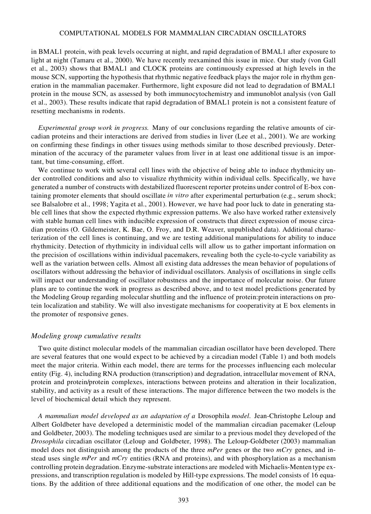#### COMPUTATIONAL MODELS FOR MAMMALIAN CIRCADIAN OSCILLATORS

in BMAL1 protein, with peak levels occurring at night, and rapid degradation of BMAL1 after exposure to light at night (Tamaru et al., 2000). We have recently reexamined this issue in mice. Our study (von Gall et al., 2003) shows that BMAL1 and CLOCK proteins are continuously expressed at high levels in the mouse SCN, supporting the hypothesis that rhythmic negative feedback plays the major role in rhythm generation in the mammalian pacemaker. Furthermore, light exposure did not lead to degradation of BMAL1 protein in the mouse SCN, as assessed by both immunocytochemistry and immunoblot analysis (von Gall et al., 2003). These results indicate that rapid degradation of BMAL1 protein is not a consistent feature of resetting mechanisms in rodents.

*Experimental group work in progress.* Many of our conclusions regarding the relative amounts of circadian proteins and their interactions are derived from studies in liver (Lee et al., 2001). We are working on confirming these findings in other tissues using methods similar to those described previously. Determination of the accuracy of the parameter values from liver in at least one additional tissue is an important, but time-consuming, effort.

We continue to work with several cell lines with the objective of being able to induce rhythmicity under controlled conditions and also to visualize rhythmicity within individual cells. Specifically, we have generated a number of constructs with destabilized fluorescent reporter proteins under control of E-box containing promoter elements that should oscillate *in vitro* after experimental perturbation (e.g., serum shock; see Balsalobre et al., 1998; Yagita et al., 2001). However, we have had poor luck to date in generating stable cell lines that show the expected rhythmic expression patterns. We also have worked rather extensively with stable human cell lines with inducible expression of constructs that direct expression of mouse circadian proteins (O. Gildemeister, K. Bae, O. Froy, and D.R. Weaver, unpublished data). Additional characterization of the cell lines is continuing, and we are testing additional manipulations for ability to induce rhythmicity. Detection of rhythmicity in individual cells will allow us to gather important information on the precision of oscillations within individual pacemakers, revealing both the cycle-to-cycle variability as well as the variation between cells. Almost all existing data addresses the mean behavior of populations of oscillators without addressing the behavior of individual oscillators. Analysis of oscillations in single cells will impact our understanding of oscillator robustness and the importance of molecular noise. Our future plans are to continue the work in progress as described above, and to test model predictions generated by the Modeling Group regarding molecular shuttling and the influence of protein:protein interactions on protein localization and stability. We will also investigate mechanisms for cooperativity at E box elements in the promoter of responsive genes.

#### *Modeling group cumulative results*

Two quite distinct molecular models of the mammalian circadian oscillator have been developed. There are several features that one would expect to be achieved by a circadian model (Table 1) and both models meet the major criteria. Within each model, there are terms for the processes influencing each molecular entity (Fig. 4), including RNA production (transcription) and degradation, intracellular movement of RNA, protein and protein/protein complexes, interactions between proteins and alteration in their localization, stability, and activity as a result of these interactions. The major difference between the two models is the level of biochemical detail which they represent.

*A mammalian model developed as an adaptation of a* Drosophila *model*. Jean-Christophe Leloup and Albert Goldbeter have developed a deterministic model of the mammalian circadian pacemaker (Leloup and Goldbeter, 2003). The modeling techniques used are similar to a previous model they developed of the *Drosophila* circadian oscillator (Leloup and Goldbeter, 1998). The Leloup-Goldbeter (2003) mammalian model does not distinguish among the products of the three *mPer* genes or the two *mCry* genes, and instead uses single *mPer* and *mCry* entities (RNA and proteins), and with phosphorylation as a mechanism controlling protein degradation. Enzyme-substrate interactions are modeled with Michaelis-Menten type expressions, and transcription regulation is modeled by Hill-type expressions. The model consists of 16 equations. By the addition of three additional equations and the modification of one other, the model can be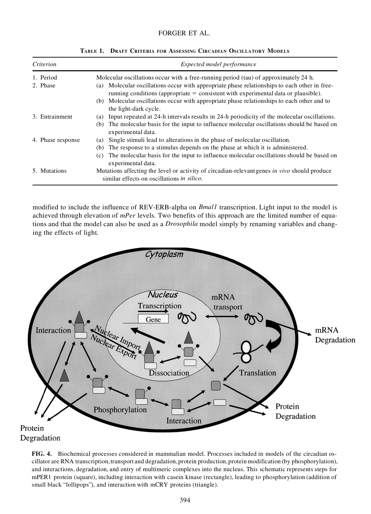| Criterion |                   | Expected model performance                                                                                                                                                              |  |  |  |  |
|-----------|-------------------|-----------------------------------------------------------------------------------------------------------------------------------------------------------------------------------------|--|--|--|--|
|           | 1. Period         | Molecular oscillations occur with a free-running period (tau) of approximately 24 h.                                                                                                    |  |  |  |  |
|           | 2. Phase          | Molecular oscillations occur with appropriate phase relationships to each other in free-<br>(a)<br>running conditions (appropriate $=$ consistent with experimental data or plausible). |  |  |  |  |
|           |                   | Molecular oscillations occur with appropriate phase relationships to each other and to<br>(b)<br>the light-dark cycle.                                                                  |  |  |  |  |
|           | 3. Entrainment    | Input repeated at 24-h intervals results in 24-h periodicity of the molecular oscillations.<br>(a)                                                                                      |  |  |  |  |
|           |                   | The molecular basis for the input to influence molecular oscillations should be based on<br>(b)<br>experimental data.                                                                   |  |  |  |  |
|           | 4. Phase response | Single stimuli lead to alterations in the phase of molecular oscillation.<br>(a)                                                                                                        |  |  |  |  |
|           |                   | The response to a stimulus depends on the phase at which it is administered.<br>(b)                                                                                                     |  |  |  |  |
|           |                   | The molecular basis for the input to influence molecular oscillations should be based on<br>(c)<br>experimental data.                                                                   |  |  |  |  |
|           | 5. Mutations      | Mutations affecting the level or activity of circadian-relevant genes in vivo should produce<br>similar effects on oscillations in silico.                                              |  |  |  |  |

**TABLE 1. DRAFT CRITERIA FOR ASSESSING CIRCADIAN OSCILLATORY MODELS**

modified to include the influence of REV-ERB-alpha on *Bmal1* transcription. Light input to the model is achieved through elevation of *mPer* levels. Two benefits of this approach are the limited number of equations and that the model can also be used as a *Drosophila* model simply by renaming variables and changing the effects of light.



**FIG. 4.** Biochemical processes considered in mammalian model. Processes included in models of the circadian os cillator are RNA transcription, transport and degradation, protein production, protein modification (by phosphorylation), and interactions, degradation, and entry of multimeric complexes into the nucleus. This schematic represents steps for mPER1 protein (square), including interaction with casein kinase (rectangle), leading to phosphorylation (addition of small black "lollipops"), and interaction with mCRY proteins (triangle).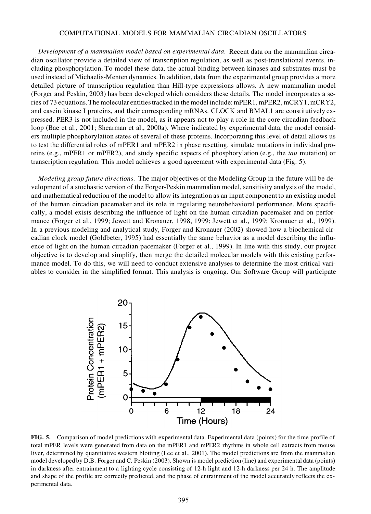#### COMPUTATIONAL MODELS FOR MAMMALIAN CIRCADIAN OSCILLATORS

*Development of a mammalian model based on experimental data.* Recent data on the mammalian circadian oscillator provide a detailed view of transcription regulation, as well as post-translational events, including phosphorylation. To model these data, the actual binding between kinases and substrates must be used instead of Michaelis-Menten dynamics. In addition, data from the experimental group provides a more detailed picture of transcription regulation than Hill-type expressions allows. A new mammalian model (Forger and Peskin, 2003) has been developed which considers these details. The model incorporates a series of 73 equations. The molecular entities tracked in the model include: mPER1, mPER2, mCRY1, mCRY2, and casein kinase I proteins, and their corresponding mRNAs. CLOCK and BMAL1 are constitutively expressed. PER3 is not included in the model, as it appears not to play a role in the core circadian feedback loop (Bae et al., 2001; Shearman et al., 2000a). Where indicated by experimental data, the model considers multiple phosphorylation states of several of these proteins. Incorporating this level of detail allows us to test the differential roles of mPER1 and mPER2 in phase resetting, simulate mutations in individual proteins (e.g., mPER1 or mPER2), and study specific aspects of phosphorylation (e.g., the *tau* mutation) or transcription regulation. This model achieves a good agreement with experimental data (Fig. 5).

*Modeling group future directions.* The major objectives of the Modeling Group in the future will be development of a stochastic version of the Forger-Peskin mammalian model, sensitivity analysis of the model, and mathematical reduction of the model to allow its integration as an input component to an existing model of the human circadian pacemaker and its role in regulating neurobehavioral performance. More specifically, a model exists describing the influence of light on the human circadian pacemaker and on performance (Forger et al., 1999; Jewett and Kronauer, 1998, 1999; Jewett et al., 1999; Kronauer et al., 1999). In a previous modeling and analytical study, Forger and Kronauer (2002) showed how a biochemical circadian clock model (Goldbeter, 1995) had essentially the same behavior as a model describing the influence of light on the human circadian pacemaker (Forger et al., 1999). In line with this study, our project objective is to develop and simplify, then merge the detailed molecular models with this existing performance model. To do this, we will need to conduct extensive analyses to determine the most critical variables to consider in the simplified format. This analysis is ongoing. Our Software Group will participate



**FIG. 5.** Comparison of model predictions with experimental data. Experimental data (points) for the time profile of total mPER levels were generated from data on the mPER1 and mPER2 rhythms in whole cell extracts from mouse liver, determined by quantitative western blotting (Lee et al., 2001). The model predictions are from the mammalian model developed by D.B. Forger and C. Peskin (2003). Shown is model prediction (line) and experimental data (points) in darkness after entrainment to a lighting cycle consisting of 12-h light and 12-h darkness per 24 h. The amplitude and shape of the profile are correctly predicted, and the phase of entrainment of the model accurately reflects the ex perimental data.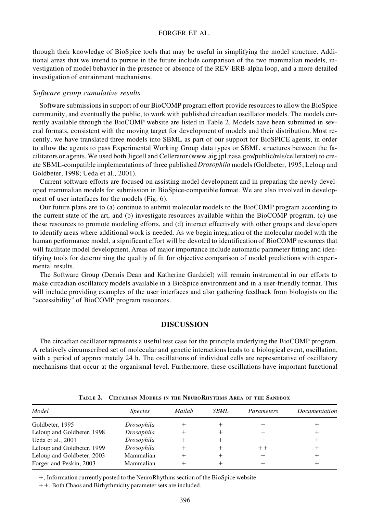through their knowledge of BioSpice tools that may be useful in simplifying the model structure. Additional areas that we intend to pursue in the future include comparison of the two mammalian models, investigation of model behavior in the presence or absence of the REV-ERB-alpha loop, and a more detailed investigation of entrainment mechanisms.

#### *Software group cumulative results*

Software submissions in support of our BioCOMP program effort provide resources to allow the BioSpice community, and eventually the public, to work with published circadian oscillator models. The models currently available through the BioCOMP website are listed in Table 2. Models have been submitted in several formats, consistent with the moving target for development of models and their distribution. Most recently, we have translated three models into SBML as part of our support for BioSPICE agents, in order to allow the agents to pass Experimental Working Group data types or SBML structures between the facilitators or agents. We used both Jigcell and Cellerator (www.aig.jpl.nasa.gov/public/mls/cellerator/) to create SBML-compatible implementations of three published *Drosophila* models (Goldbeter, 1995; Leloup and Goldbeter, 1998; Ueda et al., 2001).

Current software efforts are focused on assisting model development and in preparing the newly developed mammalian models for submission in BioSpice-compatible format. We are also involved in development of user interfaces for the models (Fig. 6).

Our future plans are to (a) continue to submit molecular models to the BioCOMP program according to the current state of the art, and (b) investigate resources available within the BioCOMP program, (c) use these resources to promote modeling efforts, and (d) interact effectively with other groups and developers to identify areas where additional work is needed. As we begin integration of the molecular model with the human performance model, a significant effort will be devoted to identification of BioCOMP resources that will facilitate model development. Areas of major importance include automatic parameter fitting and identifying tools for determining the quality of fit for objective comparison of model predictions with experimental results.

The Software Group (Dennis Dean and Katherine Gurdziel) will remain instrumental in our efforts to make circadian oscillatory models available in a BioSpice environment and in a user-friendly format. This will include providing examples of the user interfaces and also gathering feedback from biologists on the "accessibility" of BioCOMP program resources.

# **DISCUSSION**

The circadian oscillator represents a useful test case for the principle underlying the BioCOMP program. A relatively circumscribed set of molecular and genetic interactions leads to a biological event, oscillation, with a period of approximately 24 h. The oscillations of individual cells are representative of oscillatory mechanisms that occur at the organismal level. Furthermore, these oscillations have important functional

| Model                      | <i>Species</i> | Matlab | <i>SBML</i> | <i>Parameters</i> | Documentation |
|----------------------------|----------------|--------|-------------|-------------------|---------------|
| Goldbeter, 1995            | Drosophila     |        |             |                   |               |
| Leloup and Goldbeter, 1998 | Drosophila     |        |             |                   |               |
| Ueda et al., 2001          | Drosophila     |        |             |                   |               |
| Leloup and Goldbeter, 1999 | Drosophila     |        |             | $++$              |               |
| Leloup and Goldbeter, 2003 | Mammalian      |        |             |                   |               |
| Forger and Peskin, 2003    | Mammalian      |        |             |                   |               |

**TABLE 2. CIRCADIAN MODELS IN THE NEURORHYTHMS AREA OF THE SANDBOX**

1, Information currently posted to the NeuroRhythms section of the BioSpice website.

+ +, Both Chaos and Birhythmicity parameter sets are included.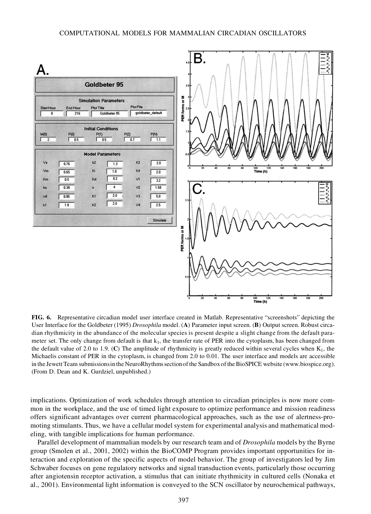

**FIG. 6.** Representative circadian model user interface created in Matlab. Representative "screenshots" depicting the User Interface for the Goldbeter (1995) *Drosophila* model. (**A**) Parameter input screen. (**B**) Output screen. Robust circadian rhythmicity in the abundance of the molecular species is present despite a slight change from the default parameter set. The only change from default is that  $k_1$ , the transfer rate of PER into the cytoplasm, has been changed from the default value of 2.0 to 1.9. ( $\bf{C}$ ) The amplitude of rhythmicity is greatly reduced within several cycles when  $\bf{K}_1$ , the Michaelis constant of PER in the cytoplasm, is changed from 2.0 to 0.01. The user interface and models are accessible in the Jewett Team submissions in the NeuroRhythms section of the Sandbox of the BioSPICE website (www.biospice.org). (From D. Dean and K. Gurdziel, unpublished.)

implications. Optimization of work schedules through attention to circadian principles is now more common in the workplace, and the use of timed light exposure to optimize performance and mission readiness offers significant advantages over current pharmacological approaches, such as the use of alertness-promoting stimulants. Thus, we have a cellular model system for experimental analysis and mathematical modeling, with tangible implications for human performance.

Parallel development of mammalian models by our research team and of *Drosophila* models by the Byrne group (Smolen et al., 2001, 2002) within the BioCOMP Program provides important opportunities for interaction and exploration of the specific aspects of model behavior. The group of investigators led by Jim Schwaber focuses on gene regulatory networks and signal transduction events, particularly those occurring after angiotensin receptor activation, a stimulus that can initiate rhythmicity in cultured cells (Nonaka et al., 2001). Environmental light information is conveyed to the SCN oscillator by neurochemical pathways,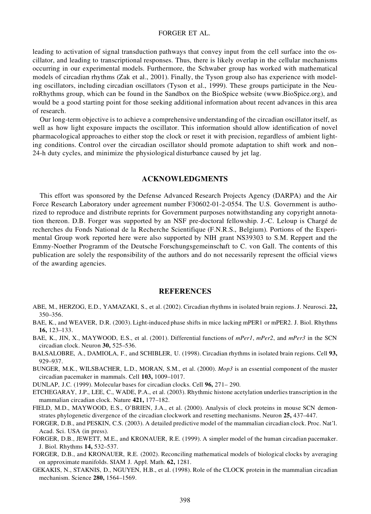leading to activation of signal transduction pathways that convey input from the cell surface into the oscillator, and leading to transcriptional responses. Thus, there is likely overlap in the cellular mechanisms occurring in our experimental models. Furthermore, the Schwaber group has worked with mathematical models of circadian rhythms (Zak et al., 2001). Finally, the Tyson group also has experience with modeling oscillators, including circadian oscillators (Tyson et al., 1999). These groups participate in the NeuroRhythms group, which can be found in the Sandbox on the BioSpice website (www.BioSpice.org), and would be a good starting point for those seeking additional information about recent advances in this area of research.

Our long-term objective is to achieve a comprehensive understanding of the circadian oscillator itself, as well as how light exposure impacts the oscillator. This information should allow identification of novel pharmacological approaches to either stop the clock or reset it with precision, regardless of ambient lighting conditions. Control over the circadian oscillator should promote adaptation to shift work and non– 24-h duty cycles, and minimize the physiological disturbance caused by jet lag.

# **ACKNOWLEDGMENTS**

This effort was sponsored by the Defense Advanced Research Projects Agency (DARPA) and the Air Force Research Laboratory under agreement number F30602-01-2-0554. The U.S. Government is authorized to reproduce and distribute reprints for Government purposes notwithstanding any copyright annotation thereon. D.B. Forger was supported by an NSF pre-doctoral fellowship. J.-C. Leloup is Chargé de recherches du Fonds National de la Recherche Scientifique (F.N.R.S., Belgium). Portions of the Experimental Group work reported here were also supported by NIH grant NS39303 to S.M. Reppert and the Emmy-Noether Programm of the Deutsche Forschungsgemeinschaft to C. von Gall. The contents of this publication are solely the responsibility of the authors and do not necessarily represent the official views of the awarding agencies.

#### **REFERENCES**

- ABE, M., HERZOG, E.D., YAMAZAKI, S., et al. (2002). Circadian rhythms in isolated brain regions. J. Neurosci. **22,** 350–356.
- BAE, K., and WEAVER, D.R. (2003). Light-induced phase shifts in mice lacking mPER1 or mPER2. J. Biol. Rhythms **16,** 123–133.
- BAE, K., JIN, X., MAYWOOD, E.S., et al. (2001). Differential functions of *mPer1*, *mPer2*, and *mPer3* in the SCN circadian clock. Neuron **30,** 525–536.
- BALSALOBRE, A., DAMIOLA, F., and SCHIBLER, U. (1998). Circadian rhythms in isolated brain regions. Cell **93,** 929–937.
- BUNGER, M.K., WILSBACHER, L.D., MORAN, S.M., et al. (2000). *Mop3* is an essential component of the master circadian pacemaker in mammals. Cell **103,** 1009–1017.
- DUNLAP, J.C. (1999). Molecular bases for circadian clocks. Cell **96,** 271– 290.
- ETCHEGARAY, J.P., LEE, C., WADE, P.A., et al. (2003). Rhythmic histone acetylation underlies transcription in the mammalian circadian clock. Nature **421,** 177–182.
- FIELD, M.D., MAYWOOD, E.S., O'BRIEN, J.A., et al. (2000). Analysis of clock proteins in mouse SCN demonstrates phylogenetic divergence of the circadian clockwork and resetting mechanisms. Neuron **25,** 437–447.
- FORGER, D.B., and PESKIN, C.S. (2003). A detailed predictive model of the mammalian circadian clock. Proc. Nat'l. Acad. Sci. USA (in press).
- FORGER, D.B., JEWETT, M.E., and KRONAUER, R.E. (1999). A simpler model of the human circadian pacemaker. J. Biol. Rhythms **14,** 532–537.
- FORGER, D.B., and KRONAUER, R.E. (2002). Reconciling mathematical models of biological clocks by averaging on approximate manifolds. SIAM J. Appl. Math. **62,** 1281.
- GEKAKIS, N., STAKNIS, D., NGUYEN, H.B., et al. (1998). Role of the CLOCK protein in the mammalian circadian mechanism. Science **280,** 1564–1569.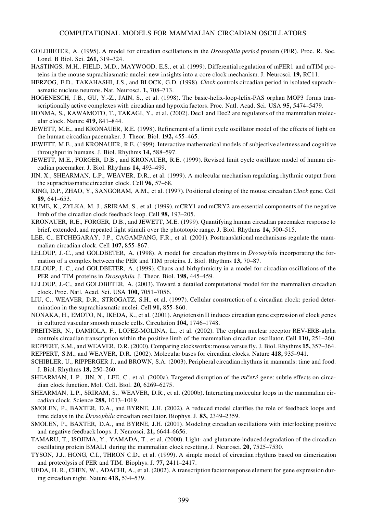#### COMPUTATIONAL MODELS FOR MAMMALIAN CIRCADIAN OSCILLATORS

- GOLDBETER, A. (1995). A model for circadian oscillations in the *Drosophila period* protein (PER). Proc. R. Soc. Lond. B Biol. Sci. **261,** 319–324.
- HASTINGS, M.H., FIELD, M.D., MAYWOOD, E.S., et al. (1999). Differential regulation of mPER1 and mTIM proteins in the mouse suprachiasmatic nuclei: new insights into a core clock mechanism. J. Neurosci. **19,** RC11.
- HERZOG, E.D., TAKAHASHI, J.S., and BLOCK, G.D. (1998). *Clock* controls circadian period in isolated suprachiasmatic nucleus neurons. Nat. Neurosci. **1,** 708–713.
- HOGENESCH, J.B., GU, Y.-Z., JAIN, S., et al. (1998). The basic-helix-loop-helix-PAS orphan MOP3 forms transcriptionally active complexes with circadian and hypoxia factors. Proc. Natl. Acad. Sci. USA **95,** 5474–5479.
- HONMA, S., KAWAMOTO, T., TAKAGI, Y., et al. (2002). Dec1 and Dec2 are regulators of the mammalian molecular clock. Nature **419,** 841–844.
- JEWETT, M.E., and KRONAUER, R.E. (1998). Refinement of a limit cycle oscillator model of the effects of light on the human circadian pacemaker. J. Theor. Biol. **192,** 455–465.
- JEWETT, M.E., and KRONAUER, R.E. (1999). Interactive mathematical models of subjective alertness and cognitive throughput in humans. J. Biol. Rhythms **14,** 588–597.
- JEWETT, M.E., FORGER, D.B., and KRONAUER, R.E. (1999). Revised limit cycle oscillator model of human circadian pacemaker. J. Biol. Rhythms **14,** 493–499.
- JIN, X., SHEARMAN, L.P., WEAVER, D.R., et al. (1999). A molecular mechanism regulating rhythmic output from the suprachiasmatic circadian clock. Cell **96,** 57–68.
- KING, D.P., ZHAO, Y., SANGORAM, A.M., et al. (1997). Positional cloning of the mouse circadian *Clock* gene. Cell **89,** 641–653.
- KUME, K., ZYLKA, M. J., SRIRAM, S., et al. (1999). mCRY1 and mCRY2 are essential components of the negative limb of the circadian clock feedback loop. Cell **98,** 193–205.
- KRONAUER, R.E., FORGER, D.B., and JEWETT, M.E. (1999). Quantifying human circadian pacemaker response to brief, extended, and repeated light stimuli over the phototopic range. J. Biol. Rhythms **14,** 500–515.
- LEE, C., ETCHEGARAY, J.P., CAGAMPANG, F.R., et al. (2001). Posttranslational mechanisms regulate the mam malian circadian clock. Cell **107,** 855–867.
- LELOUP, J.-C., and GOLDBETER, A. (1998). A model for circadian rhythms in *Drosophila* incorporating the formation of a complex between the PER and TIM proteins. J. Biol. Rhythms **13,** 70–87.
- LELOUP, J.-C., and GOLDBETER, A. (1999). Chaos and birhythmicity in a model for circadian oscillations of the PER and TIM proteins in *Drosophila*. J. Theor. Biol. **198,** 445–459.
- LELOUP, J.-C., and GOLDBETER, A. (2003). Toward a detailed computational model for the mammalian circadian clock. Proc. Natl. Acad. Sci. USA **100,** 7051–7056.
- LIU, C., WEAVER, D.R., STROGATZ, S.H., et al. (1997). Cellular construction of a circadian clock: period determination in the suprachiasmatic nuclei. Cell **91,** 855–860.
- NONAKA, H., EMOTO, N., IKEDA, K., et al. (2001). Angiotensin II induces circadian gene expression of clock genes in cultured vascular smooth muscle cells. Circulation **104,** 1746–1748.
- PREITNER, N., DAMIOLA, F., LOPEZ-MOLINA, L., et al. (2002). The orphan nuclear receptor REV-ERB-alpha controls circadian transcription within the positive limb of the mammalian circadian oscillator. Cell **110,** 251–260.
- REPPERT, S.M., and WEAVER, D.R. (2000). Comparing clockworks: mouse versus fly. J. Biol. Rhythms **15,** 357–364.
- REPPERT, S.M., and WEAVER, D.R. (2002). Molecular bases for circadian clocks. Nature **418,** 935–941.
- SCHIBLER, U., RIPPERGER J., and BROWN, S.A. (2003). Peripheral circadian rhythms in mammals: time and food. J. Biol. Rhythms **18,** 250–260.
- SHEARMAN, L.P., JIN, X., LEE, C., et al. (2000a). Targeted disruption of the *mPer3* gene: subtle effects on circadian clock function. Mol. Cell. Biol. **20,** 6269–6275.
- SHEARMAN, L.P., SRIRAM, S., WEAVER, D.R., et al. (2000b). Interacting molecular loops in the mammalian circadian clock. Science **288,** 1013–1019.
- SMOLEN, P., BAXTER, D.A., and BYRNE, J.H. (2002). A reduced model clarifies the role of feedback loops and time delays in the *Drosophila* circadian oscillator. Biophys. J. **83,** 2349–2359.
- SMOLEN, P., BAXTER, D.A., and BYRNE, J.H. (2001). Modeling circadian oscillations with interlocking positive and negative feedback loops. J. Neurosci. **21,** 6644–6656.
- TAMARU, T., ISOJIMA, Y., YAMADA, T., et al. (2000). Light- and glutamate-induced degradation of the circadian oscillating protein BMAL1 during the mammalian clock resetting. J. Neurosci. **20,** 7525–7530.
- TYSON, J.J., HONG, C.I., THRON C.D., et al. (1999). A simple model of circadian rhythms based on dimerization and proteolysis of PER and TIM. Biophys. J. **77,** 2411–2417.
- UEDA, H. R., CHEN, W., ADACHI, A., et al. (2002). A transcription factor response element for gene expression during circadian night. Nature **418,** 534–539.